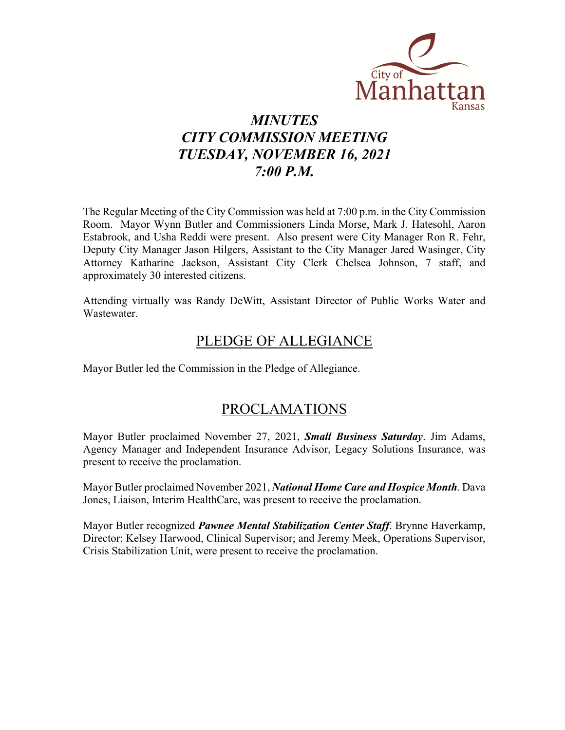

# *MINUTES CITY COMMISSION MEETING TUESDAY, NOVEMBER 16, 2021 7:00 P.M.*

The Regular Meeting of the City Commission was held at 7:00 p.m. in the City Commission Room. Mayor Wynn Butler and Commissioners Linda Morse, Mark J. Hatesohl, Aaron Estabrook, and Usha Reddi were present. Also present were City Manager Ron R. Fehr, Deputy City Manager Jason Hilgers, Assistant to the City Manager Jared Wasinger, City Attorney Katharine Jackson, Assistant City Clerk Chelsea Johnson, 7 staff, and approximately 30 interested citizens.

Attending virtually was Randy DeWitt, Assistant Director of Public Works Water and Wastewater.

## PLEDGE OF ALLEGIANCE

Mayor Butler led the Commission in the Pledge of Allegiance.

## PROCLAMATIONS

Mayor Butler proclaimed November 27, 2021, *Small Business Saturday*. Jim Adams, Agency Manager and Independent Insurance Advisor, Legacy Solutions Insurance, was present to receive the proclamation.

Mayor Butler proclaimed November 2021, *National Home Care and Hospice Month*. Dava Jones, Liaison, Interim HealthCare, was present to receive the proclamation.

Mayor Butler recognized *Pawnee Mental Stabilization Center Staff*. Brynne Haverkamp, Director; Kelsey Harwood, Clinical Supervisor; and Jeremy Meek, Operations Supervisor, Crisis Stabilization Unit, were present to receive the proclamation.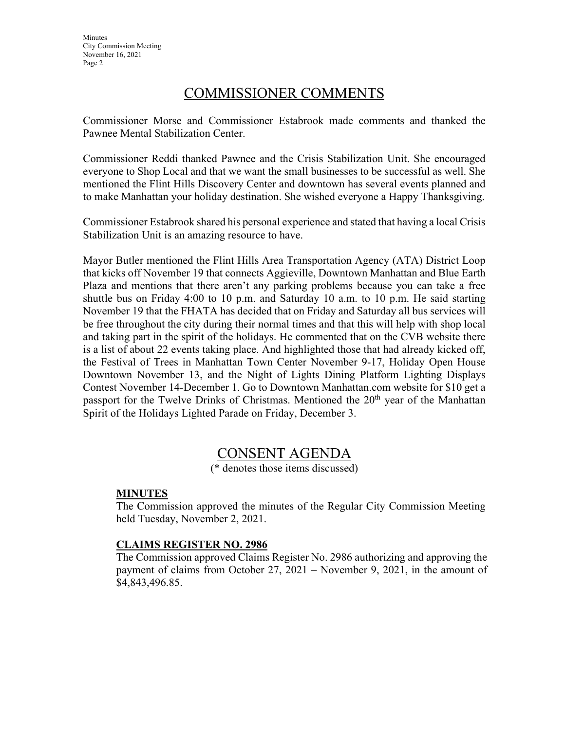**Minutes** City Commission Meeting November 16, 2021 Page 2

### COMMISSIONER COMMENTS

Commissioner Morse and Commissioner Estabrook made comments and thanked the Pawnee Mental Stabilization Center.

Commissioner Reddi thanked Pawnee and the Crisis Stabilization Unit. She encouraged everyone to Shop Local and that we want the small businesses to be successful as well. She mentioned the Flint Hills Discovery Center and downtown has several events planned and to make Manhattan your holiday destination. She wished everyone a Happy Thanksgiving.

Commissioner Estabrook shared his personal experience and stated that having a local Crisis Stabilization Unit is an amazing resource to have.

Mayor Butler mentioned the Flint Hills Area Transportation Agency (ATA) District Loop that kicks off November 19 that connects Aggieville, Downtown Manhattan and Blue Earth Plaza and mentions that there aren't any parking problems because you can take a free shuttle bus on Friday 4:00 to 10 p.m. and Saturday 10 a.m. to 10 p.m. He said starting November 19 that the FHATA has decided that on Friday and Saturday all bus services will be free throughout the city during their normal times and that this will help with shop local and taking part in the spirit of the holidays. He commented that on the CVB website there is a list of about 22 events taking place. And highlighted those that had already kicked off, the Festival of Trees in Manhattan Town Center November 9-17, Holiday Open House Downtown November 13, and the Night of Lights Dining Platform Lighting Displays Contest November 14-December 1. Go to Downtown Manhattan.com website for \$10 get a passport for the Twelve Drinks of Christmas. Mentioned the  $20<sup>th</sup>$  year of the Manhattan Spirit of the Holidays Lighted Parade on Friday, December 3.

## CONSENT AGENDA

(\* denotes those items discussed)

#### **MINUTES**

The Commission approved the minutes of the Regular City Commission Meeting held Tuesday, November 2, 2021.

#### **CLAIMS REGISTER NO. 2986**

The Commission approved Claims Register No. 2986 authorizing and approving the payment of claims from October 27, 2021 – November 9, 2021, in the amount of \$4,843,496.85.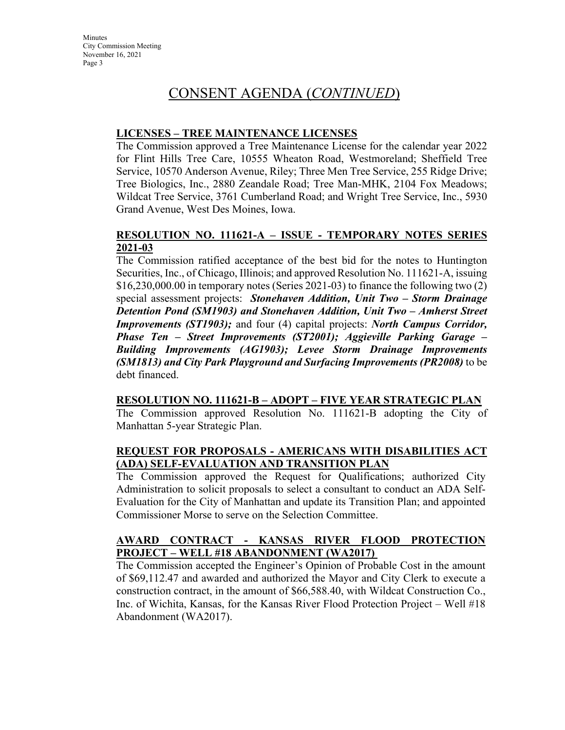## CONSENT AGENDA (*CONTINUED*)

#### **LICENSES – TREE MAINTENANCE LICENSES**

The Commission approved a Tree Maintenance License for the calendar year 2022 for Flint Hills Tree Care, 10555 Wheaton Road, Westmoreland; Sheffield Tree Service, 10570 Anderson Avenue, Riley; Three Men Tree Service, 255 Ridge Drive; Tree Biologics, Inc., 2880 Zeandale Road; Tree Man-MHK, 2104 Fox Meadows; Wildcat Tree Service, 3761 Cumberland Road; and Wright Tree Service, Inc., 5930 Grand Avenue, West Des Moines, Iowa.

#### **RESOLUTION NO. 111621-A – ISSUE - TEMPORARY NOTES SERIES 2021-03**

The Commission ratified acceptance of the best bid for the notes to Huntington Securities, Inc., of Chicago, Illinois; and approved Resolution No. 111621-A, issuing \$16,230,000.00 in temporary notes (Series 2021-03) to finance the following two (2) special assessment projects: *Stonehaven Addition, Unit Two – Storm Drainage Detention Pond (SM1903) and Stonehaven Addition, Unit Two – Amherst Street Improvements (ST1903);* and four (4) capital projects: *North Campus Corridor, Phase Ten – Street Improvements (ST2001); Aggieville Parking Garage – Building Improvements (AG1903); Levee Storm Drainage Improvements (SM1813) and City Park Playground and Surfacing Improvements (PR2008)* to be debt financed.

#### **RESOLUTION NO. 111621-B – ADOPT – FIVE YEAR STRATEGIC PLAN**

The Commission approved Resolution No. 111621-B adopting the City of Manhattan 5-year Strategic Plan.

#### **REQUEST FOR PROPOSALS - AMERICANS WITH DISABILITIES ACT (ADA) SELF-EVALUATION AND TRANSITION PLAN**

The Commission approved the Request for Qualifications; authorized City Administration to solicit proposals to select a consultant to conduct an ADA Self-Evaluation for the City of Manhattan and update its Transition Plan; and appointed Commissioner Morse to serve on the Selection Committee.

#### **AWARD CONTRACT - KANSAS RIVER FLOOD PROTECTION PROJECT – WELL #18 ABANDONMENT (WA2017)**

The Commission accepted the Engineer's Opinion of Probable Cost in the amount of \$69,112.47 and awarded and authorized the Mayor and City Clerk to execute a construction contract, in the amount of \$66,588.40, with Wildcat Construction Co., Inc. of Wichita, Kansas, for the Kansas River Flood Protection Project – Well #18 Abandonment (WA2017).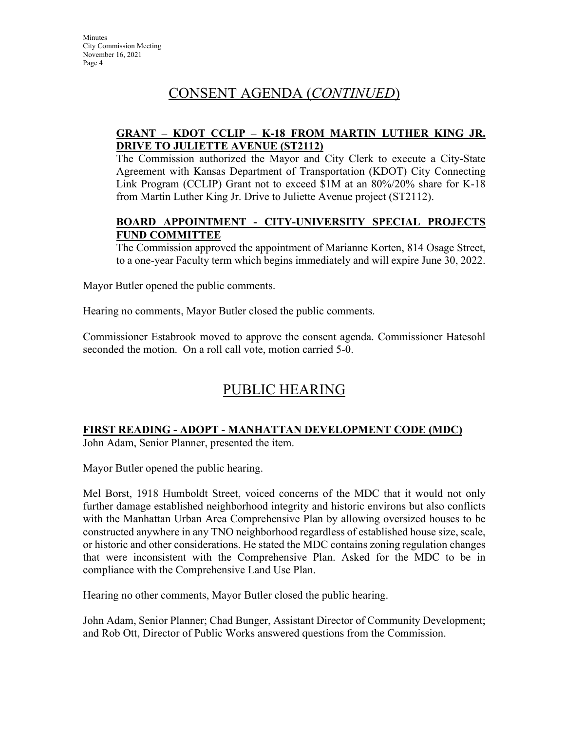# CONSENT AGENDA (*CONTINUED*)

### **GRANT – KDOT CCLIP – K-18 FROM MARTIN LUTHER KING JR. DRIVE TO JULIETTE AVENUE (ST2112)**

The Commission authorized the Mayor and City Clerk to execute a City-State Agreement with Kansas Department of Transportation (KDOT) City Connecting Link Program (CCLIP) Grant not to exceed \$1M at an 80%/20% share for K-18 from Martin Luther King Jr. Drive to Juliette Avenue project (ST2112).

### **BOARD APPOINTMENT - CITY-UNIVERSITY SPECIAL PROJECTS FUND COMMITTEE**

The Commission approved the appointment of Marianne Korten, 814 Osage Street, to a one-year Faculty term which begins immediately and will expire June 30, 2022.

Mayor Butler opened the public comments.

Hearing no comments, Mayor Butler closed the public comments.

Commissioner Estabrook moved to approve the consent agenda. Commissioner Hatesohl seconded the motion. On a roll call vote, motion carried 5-0.

# PUBLIC HEARING

### **FIRST READING - ADOPT - MANHATTAN DEVELOPMENT CODE (MDC)**

John Adam, Senior Planner, presented the item.

Mayor Butler opened the public hearing.

Mel Borst, 1918 Humboldt Street, voiced concerns of the MDC that it would not only further damage established neighborhood integrity and historic environs but also conflicts with the Manhattan Urban Area Comprehensive Plan by allowing oversized houses to be constructed anywhere in any TNO neighborhood regardless of established house size, scale, or historic and other considerations. He stated the MDC contains zoning regulation changes that were inconsistent with the Comprehensive Plan. Asked for the MDC to be in compliance with the Comprehensive Land Use Plan.

Hearing no other comments, Mayor Butler closed the public hearing.

John Adam, Senior Planner; Chad Bunger, Assistant Director of Community Development; and Rob Ott, Director of Public Works answered questions from the Commission.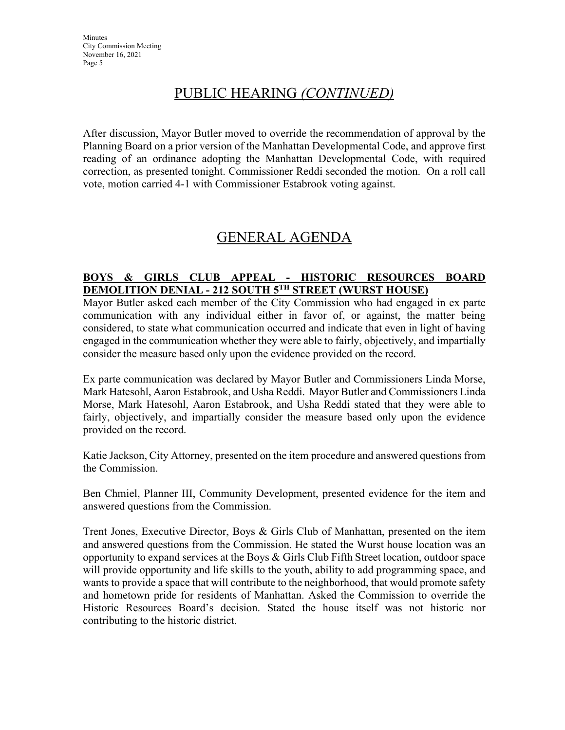# PUBLIC HEARING *(CONTINUED)*

After discussion, Mayor Butler moved to override the recommendation of approval by the Planning Board on a prior version of the Manhattan Developmental Code, and approve first reading of an ordinance adopting the Manhattan Developmental Code, with required correction, as presented tonight. Commissioner Reddi seconded the motion. On a roll call vote, motion carried 4-1 with Commissioner Estabrook voting against.

## GENERAL AGENDA

### **BOYS & GIRLS CLUB APPEAL - HISTORIC RESOURCES BOARD DEMOLITION DENIAL - 212 SOUTH 5TH STREET (WURST HOUSE)**

Mayor Butler asked each member of the City Commission who had engaged in ex parte communication with any individual either in favor of, or against, the matter being considered, to state what communication occurred and indicate that even in light of having engaged in the communication whether they were able to fairly, objectively, and impartially consider the measure based only upon the evidence provided on the record.

Ex parte communication was declared by Mayor Butler and Commissioners Linda Morse, Mark Hatesohl, Aaron Estabrook, and Usha Reddi. Mayor Butler and Commissioners Linda Morse, Mark Hatesohl, Aaron Estabrook, and Usha Reddi stated that they were able to fairly, objectively, and impartially consider the measure based only upon the evidence provided on the record.

Katie Jackson, City Attorney, presented on the item procedure and answered questions from the Commission.

Ben Chmiel, Planner III, Community Development, presented evidence for the item and answered questions from the Commission.

Trent Jones, Executive Director, Boys & Girls Club of Manhattan, presented on the item and answered questions from the Commission. He stated the Wurst house location was an opportunity to expand services at the Boys & Girls Club Fifth Street location, outdoor space will provide opportunity and life skills to the youth, ability to add programming space, and wants to provide a space that will contribute to the neighborhood, that would promote safety and hometown pride for residents of Manhattan. Asked the Commission to override the Historic Resources Board's decision. Stated the house itself was not historic nor contributing to the historic district.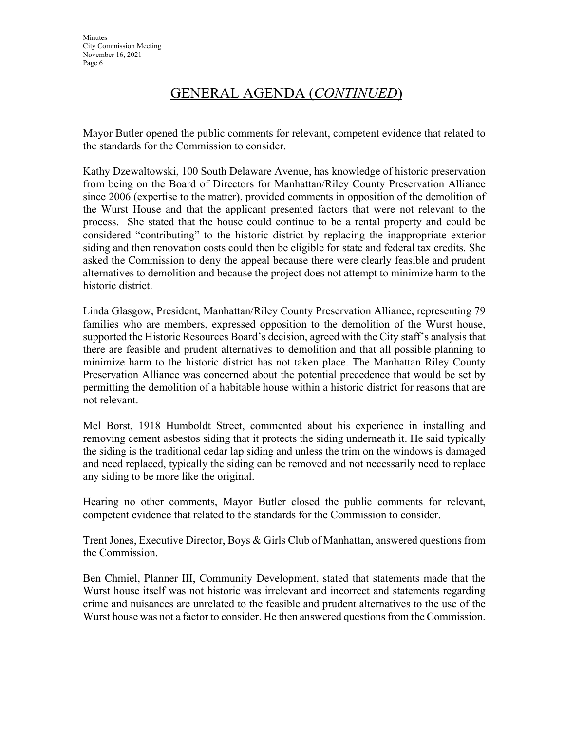# GENERAL AGENDA (*CONTINUED*)

Mayor Butler opened the public comments for relevant, competent evidence that related to the standards for the Commission to consider.

Kathy Dzewaltowski, 100 South Delaware Avenue, has knowledge of historic preservation from being on the Board of Directors for Manhattan/Riley County Preservation Alliance since 2006 (expertise to the matter), provided comments in opposition of the demolition of the Wurst House and that the applicant presented factors that were not relevant to the process. She stated that the house could continue to be a rental property and could be considered "contributing" to the historic district by replacing the inappropriate exterior siding and then renovation costs could then be eligible for state and federal tax credits. She asked the Commission to deny the appeal because there were clearly feasible and prudent alternatives to demolition and because the project does not attempt to minimize harm to the historic district.

Linda Glasgow, President, Manhattan/Riley County Preservation Alliance, representing 79 families who are members, expressed opposition to the demolition of the Wurst house, supported the Historic Resources Board's decision, agreed with the City staff's analysis that there are feasible and prudent alternatives to demolition and that all possible planning to minimize harm to the historic district has not taken place. The Manhattan Riley County Preservation Alliance was concerned about the potential precedence that would be set by permitting the demolition of a habitable house within a historic district for reasons that are not relevant.

Mel Borst, 1918 Humboldt Street, commented about his experience in installing and removing cement asbestos siding that it protects the siding underneath it. He said typically the siding is the traditional cedar lap siding and unless the trim on the windows is damaged and need replaced, typically the siding can be removed and not necessarily need to replace any siding to be more like the original.

Hearing no other comments, Mayor Butler closed the public comments for relevant, competent evidence that related to the standards for the Commission to consider.

Trent Jones, Executive Director, Boys & Girls Club of Manhattan, answered questions from the Commission.

Ben Chmiel, Planner III, Community Development, stated that statements made that the Wurst house itself was not historic was irrelevant and incorrect and statements regarding crime and nuisances are unrelated to the feasible and prudent alternatives to the use of the Wurst house was not a factor to consider. He then answered questions from the Commission.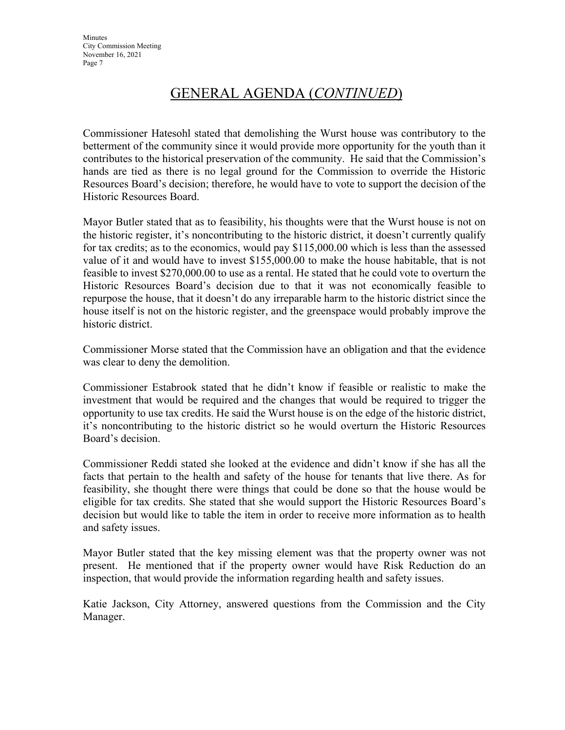# GENERAL AGENDA (*CONTINUED*)

Commissioner Hatesohl stated that demolishing the Wurst house was contributory to the betterment of the community since it would provide more opportunity for the youth than it contributes to the historical preservation of the community. He said that the Commission's hands are tied as there is no legal ground for the Commission to override the Historic Resources Board's decision; therefore, he would have to vote to support the decision of the Historic Resources Board.

Mayor Butler stated that as to feasibility, his thoughts were that the Wurst house is not on the historic register, it's noncontributing to the historic district, it doesn't currently qualify for tax credits; as to the economics, would pay \$115,000.00 which is less than the assessed value of it and would have to invest \$155,000.00 to make the house habitable, that is not feasible to invest \$270,000.00 to use as a rental. He stated that he could vote to overturn the Historic Resources Board's decision due to that it was not economically feasible to repurpose the house, that it doesn't do any irreparable harm to the historic district since the house itself is not on the historic register, and the greenspace would probably improve the historic district.

Commissioner Morse stated that the Commission have an obligation and that the evidence was clear to deny the demolition.

Commissioner Estabrook stated that he didn't know if feasible or realistic to make the investment that would be required and the changes that would be required to trigger the opportunity to use tax credits. He said the Wurst house is on the edge of the historic district, it's noncontributing to the historic district so he would overturn the Historic Resources Board's decision.

Commissioner Reddi stated she looked at the evidence and didn't know if she has all the facts that pertain to the health and safety of the house for tenants that live there. As for feasibility, she thought there were things that could be done so that the house would be eligible for tax credits. She stated that she would support the Historic Resources Board's decision but would like to table the item in order to receive more information as to health and safety issues.

Mayor Butler stated that the key missing element was that the property owner was not present. He mentioned that if the property owner would have Risk Reduction do an inspection, that would provide the information regarding health and safety issues.

Katie Jackson, City Attorney, answered questions from the Commission and the City Manager.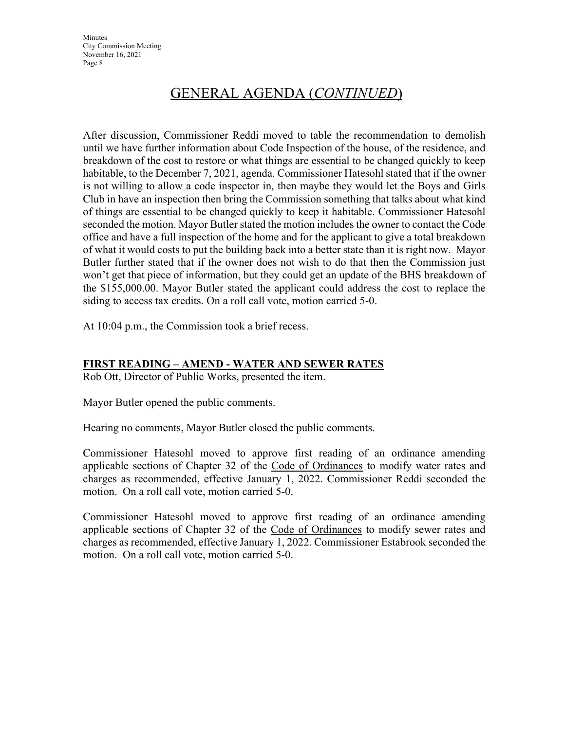**Minutes** City Commission Meeting November 16, 2021 Page 8

## GENERAL AGENDA (*CONTINUED*)

After discussion, Commissioner Reddi moved to table the recommendation to demolish until we have further information about Code Inspection of the house, of the residence, and breakdown of the cost to restore or what things are essential to be changed quickly to keep habitable, to the December 7, 2021, agenda. Commissioner Hatesohl stated that if the owner is not willing to allow a code inspector in, then maybe they would let the Boys and Girls Club in have an inspection then bring the Commission something that talks about what kind of things are essential to be changed quickly to keep it habitable. Commissioner Hatesohl seconded the motion. Mayor Butler stated the motion includes the owner to contact the Code office and have a full inspection of the home and for the applicant to give a total breakdown of what it would costs to put the building back into a better state than it is right now. Mayor Butler further stated that if the owner does not wish to do that then the Commission just won't get that piece of information, but they could get an update of the BHS breakdown of the \$155,000.00. Mayor Butler stated the applicant could address the cost to replace the siding to access tax credits. On a roll call vote, motion carried 5-0.

At 10:04 p.m., the Commission took a brief recess.

#### **FIRST READING – AMEND - WATER AND SEWER RATES**

Rob Ott, Director of Public Works, presented the item.

Mayor Butler opened the public comments.

Hearing no comments, Mayor Butler closed the public comments.

Commissioner Hatesohl moved to approve first reading of an ordinance amending applicable sections of Chapter 32 of the Code of Ordinances to modify water rates and charges as recommended, effective January 1, 2022. Commissioner Reddi seconded the motion. On a roll call vote, motion carried 5-0.

Commissioner Hatesohl moved to approve first reading of an ordinance amending applicable sections of Chapter 32 of the Code of Ordinances to modify sewer rates and charges as recommended, effective January 1, 2022. Commissioner Estabrook seconded the motion. On a roll call vote, motion carried 5-0.